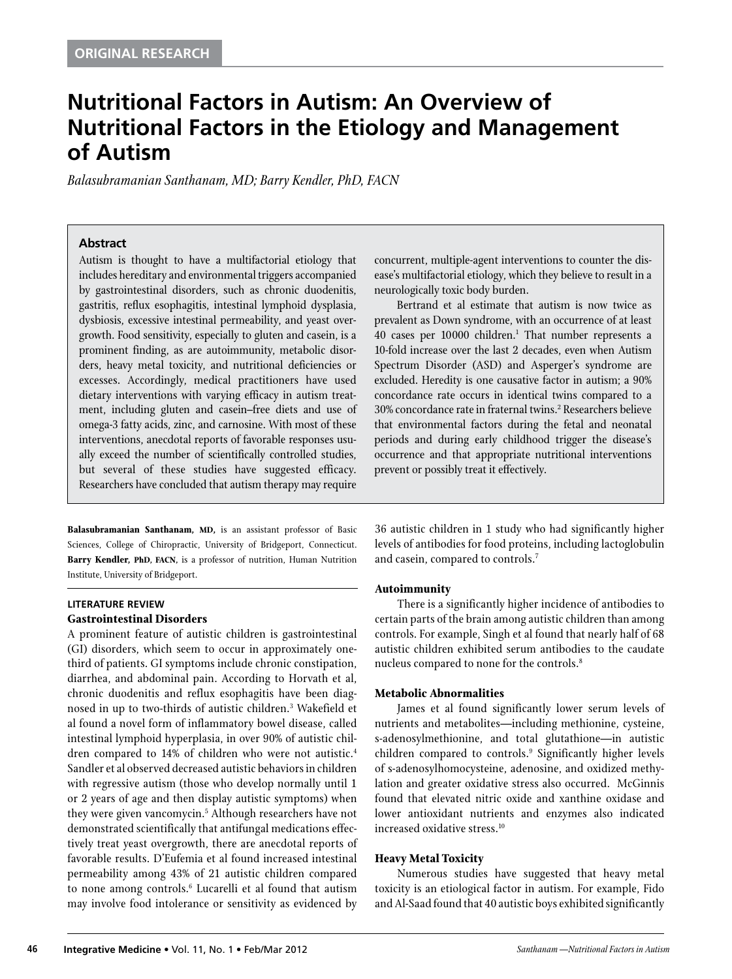## **Nutritional Factors in Autism: An Overview of Nutritional Factors in the Etiology and Management of Autism**

*Balasubramanian Santhanam, MD; Barry Kendler, PhD, FACN*

#### **Abstract**

Autism is thought to have a multifactorial etiology that includes hereditary and environmental triggers accompanied by gastrointestinal disorders, such as chronic duodenitis, gastritis, reflux esophagitis, intestinal lymphoid dysplasia, dysbiosis, excessive intestinal permeability, and yeast overgrowth. Food sensitivity, especially to gluten and casein, is a prominent finding, as are autoimmunity, metabolic disorders, heavy metal toxicity, and nutritional deficiencies or excesses. Accordingly, medical practitioners have used dietary interventions with varying efficacy in autism treatment, including gluten and casein–free diets and use of omega-3 fatty acids, zinc, and carnosine. With most of these interventions, anecdotal reports of favorable responses usually exceed the number of scientifically controlled studies, but several of these studies have suggested efficacy. Researchers have concluded that autism therapy may require

**Balasubramanian Santhanam, MD,** is an assistant professor of Basic Sciences, College of Chiropractic, University of Bridgeport, Connecticut. **Barry Kendler, PhD, FACN,** is a professor of nutrition, Human Nutrition Institute, University of Bridgeport.

#### **LITERATURE REVIEW Gastrointestinal Disorders**

A prominent feature of autistic children is gastrointestinal (GI) disorders, which seem to occur in approximately onethird of patients. GI symptoms include chronic constipation, diarrhea, and abdominal pain. According to Horvath et al, chronic duodenitis and reflux esophagitis have been diagnosed in up to two-thirds of autistic children.<sup>3</sup> Wakefield et al found a novel form of inflammatory bowel disease, called intestinal lymphoid hyperplasia, in over 90% of autistic children compared to 14% of children who were not autistic.<sup>4</sup> Sandler et al observed decreased autistic behaviors in children with regressive autism (those who develop normally until 1 or 2 years of age and then display autistic symptoms) when they were given vancomycin.5 Although researchers have not demonstrated scientifically that antifungal medications effectively treat yeast overgrowth, there are anecdotal reports of favorable results. D'Eufemia et al found increased intestinal permeability among 43% of 21 autistic children compared to none among controls.<sup>6</sup> Lucarelli et al found that autism may involve food intolerance or sensitivity as evidenced by

concurrent, multiple-agent interventions to counter the disease's multifactorial etiology, which they believe to result in a neurologically toxic body burden.

Bertrand et al estimate that autism is now twice as prevalent as Down syndrome, with an occurrence of at least 40 cases per 10000 children.<sup>1</sup> That number represents a 10-fold increase over the last 2 decades, even when Autism Spectrum Disorder (ASD) and Asperger's syndrome are excluded. Heredity is one causative factor in autism; a 90% concordance rate occurs in identical twins compared to a 30% concordance rate in fraternal twins.<sup>2</sup> Researchers believe that environmental factors during the fetal and neonatal periods and during early childhood trigger the disease's occurrence and that appropriate nutritional interventions prevent or possibly treat it effectively.

36 autistic children in 1 study who had significantly higher levels of antibodies for food proteins, including lactoglobulin and casein, compared to controls.7

#### **Autoimmunity**

There is a significantly higher incidence of antibodies to certain parts of the brain among autistic children than among controls. For example, Singh et al found that nearly half of 68 autistic children exhibited serum antibodies to the caudate nucleus compared to none for the controls.<sup>8</sup>

#### **Metabolic Abnormalities**

James et al found significantly lower serum levels of nutrients and metabolites—including methionine, cysteine, s-adenosylmethionine, and total glutathione—in autistic children compared to controls.9 Significantly higher levels of s-adenosylhomocysteine, adenosine, and oxidized methylation and greater oxidative stress also occurred. McGinnis found that elevated nitric oxide and xanthine oxidase and lower antioxidant nutrients and enzymes also indicated increased oxidative stress.10

### **Heavy Metal Toxicity**

Numerous studies have suggested that heavy metal toxicity is an etiological factor in autism. For example, Fido and Al-Saad found that 40 autistic boys exhibited significantly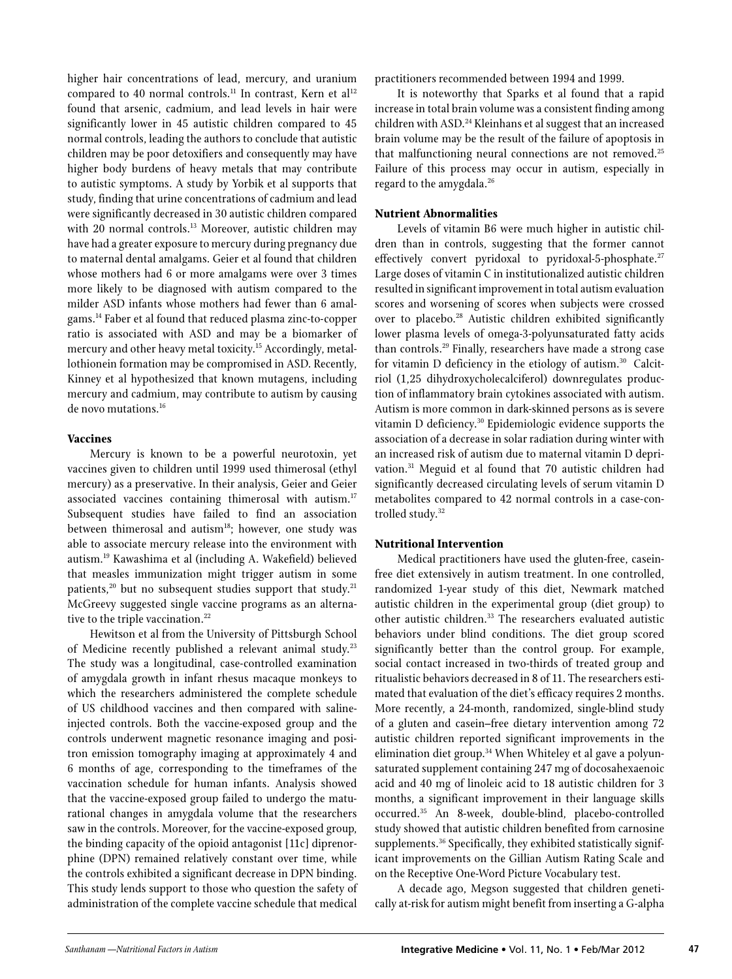higher hair concentrations of lead, mercury, and uranium compared to 40 normal controls.<sup>11</sup> In contrast, Kern et al<sup>12</sup> found that arsenic, cadmium, and lead levels in hair were significantly lower in 45 autistic children compared to 45 normal controls, leading the authors to conclude that autistic children may be poor detoxifiers and consequently may have higher body burdens of heavy metals that may contribute to autistic symptoms. A study by Yorbik et al supports that study, finding that urine concentrations of cadmium and lead were significantly decreased in 30 autistic children compared with 20 normal controls.<sup>13</sup> Moreover, autistic children may have had a greater exposure to mercury during pregnancy due to maternal dental amalgams. Geier et al found that children whose mothers had 6 or more amalgams were over 3 times more likely to be diagnosed with autism compared to the milder ASD infants whose mothers had fewer than 6 amalgams.14 Faber et al found that reduced plasma zinc-to-copper ratio is associated with ASD and may be a biomarker of mercury and other heavy metal toxicity.<sup>15</sup> Accordingly, metallothionein formation may be compromised in ASD. Recently, Kinney et al hypothesized that known mutagens, including mercury and cadmium, may contribute to autism by causing de novo mutations.16

#### **Vaccines**

Mercury is known to be a powerful neurotoxin, yet vaccines given to children until 1999 used thimerosal (ethyl mercury) as a preservative. In their analysis, Geier and Geier associated vaccines containing thimerosal with autism.<sup>17</sup> Subsequent studies have failed to find an association between thimerosal and autism<sup>18</sup>; however, one study was able to associate mercury release into the environment with autism.19 Kawashima et al (including A. Wakefield) believed that measles immunization might trigger autism in some patients,<sup>20</sup> but no subsequent studies support that study.<sup>21</sup> McGreevy suggested single vaccine programs as an alternative to the triple vaccination.<sup>22</sup>

Hewitson et al from the University of Pittsburgh School of Medicine recently published a relevant animal study.<sup>23</sup> The study was a longitudinal, case-controlled examination of amygdala growth in infant rhesus macaque monkeys to which the researchers administered the complete schedule of US childhood vaccines and then compared with salineinjected controls. Both the vaccine-exposed group and the controls underwent magnetic resonance imaging and positron emission tomography imaging at approximately 4 and 6 months of age, corresponding to the timeframes of the vaccination schedule for human infants. Analysis showed that the vaccine-exposed group failed to undergo the maturational changes in amygdala volume that the researchers saw in the controls. Moreover, for the vaccine-exposed group, the binding capacity of the opioid antagonist [11c] diprenorphine (DPN) remained relatively constant over time, while the controls exhibited a significant decrease in DPN binding. This study lends support to those who question the safety of administration of the complete vaccine schedule that medical

practitioners recommended between 1994 and 1999.

It is noteworthy that Sparks et al found that a rapid increase in total brain volume was a consistent finding among children with ASD.<sup>24</sup> Kleinhans et al suggest that an increased brain volume may be the result of the failure of apoptosis in that malfunctioning neural connections are not removed.<sup>25</sup> Failure of this process may occur in autism, especially in regard to the amygdala.<sup>26</sup>

### **Nutrient Abnormalities**

Levels of vitamin B6 were much higher in autistic children than in controls, suggesting that the former cannot effectively convert pyridoxal to pyridoxal-5-phosphate.<sup>27</sup> Large doses of vitamin C in institutionalized autistic children resulted in significant improvement in total autism evaluation scores and worsening of scores when subjects were crossed over to placebo.<sup>28</sup> Autistic children exhibited significantly lower plasma levels of omega-3-polyunsaturated fatty acids than controls.29 Finally, researchers have made a strong case for vitamin D deficiency in the etiology of autism.<sup>30</sup> Calcitriol (1,25 dihydroxycholecalciferol) downregulates production of inflammatory brain cytokines associated with autism. Autism is more common in dark-skinned persons as is severe vitamin D deficiency.30 Epidemiologic evidence supports the association of a decrease in solar radiation during winter with an increased risk of autism due to maternal vitamin D deprivation.31 Meguid et al found that 70 autistic children had significantly decreased circulating levels of serum vitamin D metabolites compared to 42 normal controls in a case-controlled study.<sup>32</sup>

### **Nutritional Intervention**

Medical practitioners have used the gluten-free, caseinfree diet extensively in autism treatment. In one controlled, randomized 1-year study of this diet, Newmark matched autistic children in the experimental group (diet group) to other autistic children.<sup>33</sup> The researchers evaluated autistic behaviors under blind conditions. The diet group scored significantly better than the control group. For example, social contact increased in two-thirds of treated group and ritualistic behaviors decreased in 8 of 11. The researchers estimated that evaluation of the diet's efficacy requires 2 months. More recently, a 24-month, randomized, single-blind study of a gluten and casein–free dietary intervention among 72 autistic children reported significant improvements in the elimination diet group.<sup>34</sup> When Whiteley et al gave a polyunsaturated supplement containing 247 mg of docosahexaenoic acid and 40 mg of linoleic acid to 18 autistic children for 3 months, a significant improvement in their language skills occurred.35 An 8-week, double-blind, placebo-controlled study showed that autistic children benefited from carnosine supplements.<sup>36</sup> Specifically, they exhibited statistically significant improvements on the Gillian Autism Rating Scale and on the Receptive One-Word Picture Vocabulary test.

A decade ago, Megson suggested that children genetically at-risk for autism might benefit from inserting a G-alpha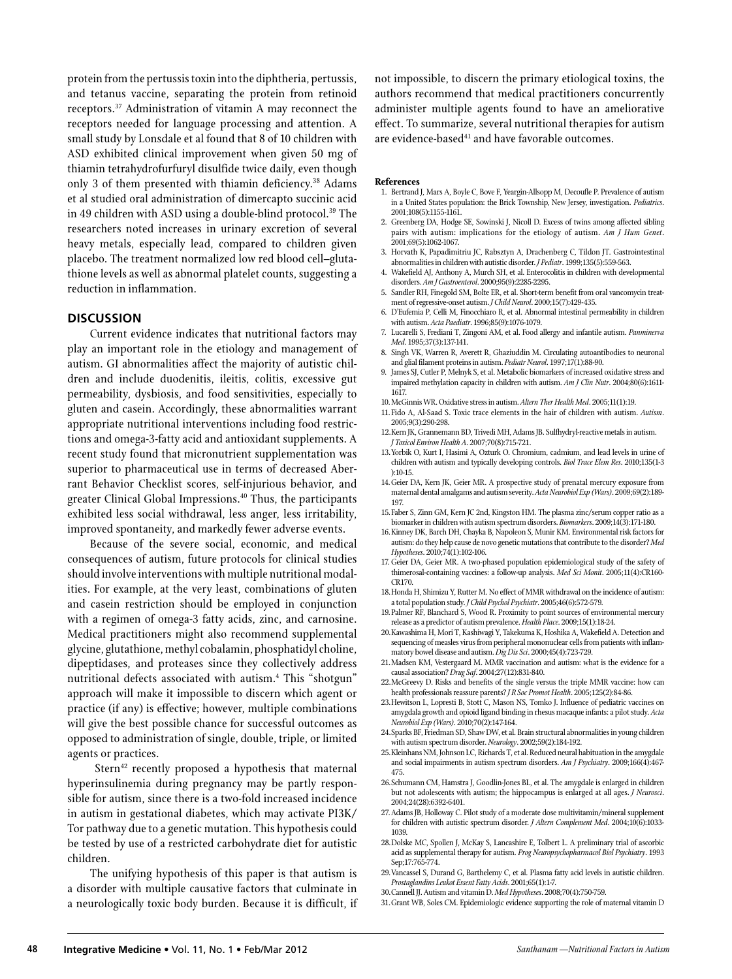protein from the pertussis toxin into the diphtheria, pertussis, and tetanus vaccine, separating the protein from retinoid receptors.37 Administration of vitamin A may reconnect the receptors needed for language processing and attention. A small study by Lonsdale et al found that 8 of 10 children with ASD exhibited clinical improvement when given 50 mg of thiamin tetrahydrofurfuryl disulfide twice daily, even though only 3 of them presented with thiamin deficiency.<sup>38</sup> Adams et al studied oral administration of dimercapto succinic acid in 49 children with ASD using a double-blind protocol.<sup>39</sup> The researchers noted increases in urinary excretion of several heavy metals, especially lead, compared to children given placebo. The treatment normalized low red blood cell–glutathione levels as well as abnormal platelet counts, suggesting a reduction in inflammation.

#### **DISCUSSION**

Current evidence indicates that nutritional factors may play an important role in the etiology and management of autism. GI abnormalities affect the majority of autistic children and include duodenitis, ileitis, colitis, excessive gut permeability, dysbiosis, and food sensitivities, especially to gluten and casein. Accordingly, these abnormalities warrant appropriate nutritional interventions including food restrictions and omega-3-fatty acid and antioxidant supplements. A recent study found that micronutrient supplementation was superior to pharmaceutical use in terms of decreased Aberrant Behavior Checklist scores, self-injurious behavior, and greater Clinical Global Impressions.40 Thus, the participants exhibited less social withdrawal, less anger, less irritability, improved spontaneity, and markedly fewer adverse events.

Because of the severe social, economic, and medical consequences of autism, future protocols for clinical studies should involve interventions with multiple nutritional modalities. For example, at the very least, combinations of gluten and casein restriction should be employed in conjunction with a regimen of omega-3 fatty acids, zinc, and carnosine. Medical practitioners might also recommend supplemental glycine, glutathione, methyl cobalamin, phosphatidyl choline, dipeptidases, and proteases since they collectively address nutritional defects associated with autism.4 This "shotgun" approach will make it impossible to discern which agent or practice (if any) is effective; however, multiple combinations will give the best possible chance for successful outcomes as opposed to administration of single, double, triple, or limited agents or practices.

Stern<sup>42</sup> recently proposed a hypothesis that maternal hyperinsulinemia during pregnancy may be partly responsible for autism, since there is a two-fold increased incidence in autism in gestational diabetes, which may activate PI3K/ Tor pathway due to a genetic mutation. This hypothesis could be tested by use of a restricted carbohydrate diet for autistic children.

The unifying hypothesis of this paper is that autism is a disorder with multiple causative factors that culminate in a neurologically toxic body burden. Because it is difficult, if not impossible, to discern the primary etiological toxins, the authors recommend that medical practitioners concurrently administer multiple agents found to have an ameliorative effect. To summarize, several nutritional therapies for autism are evidence-based<sup>41</sup> and have favorable outcomes.

#### **References**

- 1. Bertrand J, Mars A, Boyle C, Bove F, Yeargin-Allsopp M, Decoufle P. Prevalence of autism in a United States population: the Brick Township, New Jersey, investigation. *Pediatrics*. 2001;108(5):1155-1161.
- 2. Greenberg DA, Hodge SE, Sowinski J, Nicoll D. Excess of twins among affected sibling pairs with autism: implications for the etiology of autism. *Am J Hum Genet*. 2001;69(5):1062-1067.
- 3. Horvath K, Papadimitriu JC, Rabsztyn A, Drachenberg C, Tildon JT. Gastrointestinal abnormalities in children with autistic disorder. *J Pediatr*. 1999;135(5):559-563.
- 4. Wakefield AJ, Anthony A, Murch SH, et al. Enterocolitis in children with developmental disorders. *Am J Gastroenterol*. 2000;95(9):2285-2295.
- 5. Sandler RH, Finegold SM, Bolte ER, et al. Short-term benefit from oral vancomycin treatment of regressive-onset autism. *J Child Neurol*. 2000;15(7):429-435.
- 6. D'Eufemia P, Celli M, Finocchiaro R, et al. Abnormal intestinal permeability in children with autism. *Acta Paediatr*. 1996;85(9):1076-1079.
- 7. Lucarelli S, Frediani T, Zingoni AM, et al. Food allergy and infantile autism. *Panminerva Med*. 1995;37(3):137-141.
- 8. Singh VK, Warren R, Averett R, Ghaziuddin M. Circulating autoantibodies to neuronal and glial filament proteins in autism. *Pediatr Neurol*. 1997;17(1):88-90.
- 9. James SJ, Cutler P, Melnyk S, et al. Metabolic biomarkers of increased oxidative stress and impaired methylation capacity in children with autism. *Am J Clin Nutr*. 2004;80(6):1611- 1617.
- 10.McGinnis WR. Oxidative stress in autism. *Altern Ther Health Med*. 2005;11(1):19.
- 11.Fido A, Al-Saad S. Toxic trace elements in the hair of children with autism. *Autism*. 2005;9(3):290-298.
- 12.Kern JK, Grannemann BD, Trivedi MH, Adams JB. Sulfhydryl-reactive metals in autism. *J Toxicol Environ Health A*. 2007;70(8):715-721.
- 13.Yorbik O, Kurt I, Hasimi A, Ozturk O. Chromium, cadmium, and lead levels in urine of children with autism and typically developing controls. *Biol Trace Elem Res*. 2010;135(1-3 ):10-15.
- 14.Geier DA, Kern JK, Geier MR. A prospective study of prenatal mercury exposure from maternal dental amalgams and autism severity. *Acta Neurobiol Exp (Wars)*. 2009;69(2):189- 197.
- 15.Faber S, Zinn GM, Kern JC 2nd, Kingston HM. The plasma zinc/serum copper ratio as a biomarker in children with autism spectrum disorders. *Biomarkers*. 2009;14(3):171-180.
- 16.Kinney DK, Barch DH, Chayka B, Napoleon S, Munir KM. Environmental risk factors for autism: do they help cause de novo genetic mutations that contribute to the disorder? *Med Hypotheses*. 2010;74(1):102-106.
- 17.Geier DA, Geier MR. A two-phased population epidemiological study of the safety of thimerosal-containing vaccines: a follow-up analysis. *Med Sci Monit*. 2005;11(4):CR160- CR170.
- 18.Honda H, Shimizu Y, Rutter M. No effect of MMR withdrawal on the incidence of autism: a total population study. *J Child Psychol Psychiatr*. 2005;46(6):572-579.
- 19.Palmer RF, Blanchard S, Wood R. Proximity to point sources of environmental mercury release as a predictor of autism prevalence. *Health Place*. 2009;15(1):18-24.
- 20.Kawashima H, Mori T, Kashiwagi Y, Takekuma K, Hoshika A, Wakefield A. Detection and sequencing of measles virus from peripheral mononuclear cells from patients with inflammatory bowel disease and autism. *Dig Dis Sci*. 2000;45(4):723-729.
- 21.Madsen KM, Vestergaard M. MMR vaccination and autism: what is the evidence for a causal association? *Drug Saf*. 2004;27(12):831-840.
- 22.McGreevy D. Risks and benefits of the single versus the triple MMR vaccine: how can health professionals reassure parents? *J R Soc Promot Health*. 2005;125(2):84-86.
- 23.Hewitson L, Lopresti B, Stott C, Mason NS, Tomko J. Influence of pediatric vaccines on amygdala growth and opioid ligand binding in rhesus macaque infants: a pilot study. *Acta Neurobiol Exp (Wars)*. 2010;70(2):147-164.
- 24.Sparks BF, Friedman SD, Shaw DW, et al. Brain structural abnormalities in young children with autism spectrum disorder. *Neurology*. 2002;59(2):184-192.
- 25.Kleinhans NM, Johnson LC, Richards T, et al. Reduced neural habituation in the amygdale and social impairments in autism spectrum disorders. *Am J Psychiatry*. 2009;166(4):467- 475.
- 26.Schumann CM, Hamstra J, Goodlin-Jones BL, et al. The amygdale is enlarged in children but not adolescents with autism; the hippocampus is enlarged at all ages. *J Neurosci*. 2004;24(28):6392-6401.
- 27.Adams JB, Holloway C. Pilot study of a moderate dose multivitamin/mineral supplement for children with autistic spectrum disorder. *J Altern Complement Med*. 2004;10(6):1033- 1039.
- 28.Dolske MC, Spollen J, McKay S, Lancashire E, Tolbert L. A preliminary trial of ascorbic acid as supplemental therapy for autism. *Prog Neuropsychopharmacol Biol Psychiatry*. 1993 Sep;17:765-774.
- 29.Vancassel S, Durand G, Barthelemy C, et al. Plasma fatty acid levels in autistic children. *Prostaglandins Leukot Essent Fatty Acids*. 2001;65(1):1-7.
- 30.Cannell JJ. Autism and vitamin D. *Med Hypotheses*. 2008;70(4):750-759.
- 31.Grant WB, Soles CM. Epidemiologic evidence supporting the role of maternal vitamin D